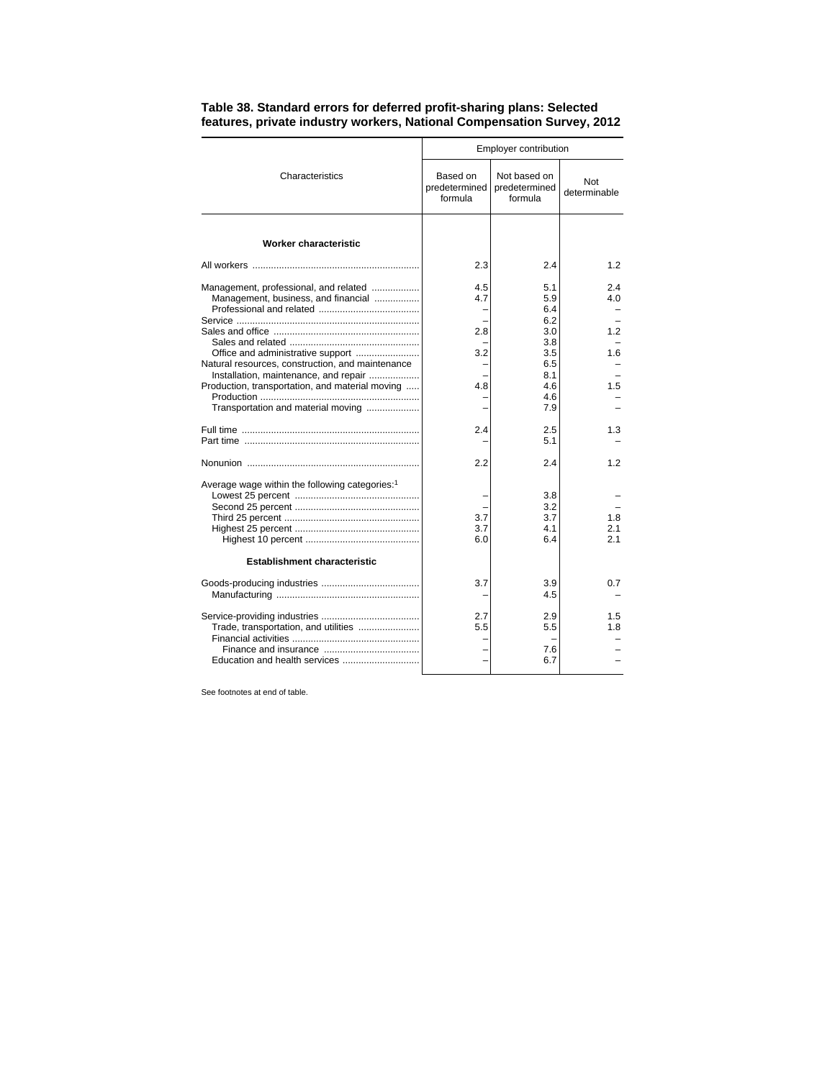|                                                                                                                                | Employer contribution                |                                          |                     |  |
|--------------------------------------------------------------------------------------------------------------------------------|--------------------------------------|------------------------------------------|---------------------|--|
| Characteristics                                                                                                                | Based on<br>predetermined<br>formula | Not based on<br>predetermined<br>formula | Not<br>determinable |  |
| <b>Worker characteristic</b>                                                                                                   |                                      |                                          |                     |  |
|                                                                                                                                | 2.3                                  | 2.4                                      | 1.2                 |  |
| Management, professional, and related<br>Management, business, and financial                                                   | 4.5<br>4.7<br>2.8                    | 5.1<br>5.9<br>6.4<br>6.2<br>3.0          | 2.4<br>4.0<br>1.2   |  |
| Office and administrative support<br>Natural resources, construction, and maintenance<br>Installation, maintenance, and repair | 3.2                                  | 3.8<br>3.5<br>6.5<br>8.1                 | 1.6                 |  |
| Production, transportation, and material moving<br>Transportation and material moving                                          | 4.8                                  | 4.6<br>4.6<br>7.9                        | 1.5                 |  |
|                                                                                                                                | 2.4                                  | 2.5<br>5.1                               | 1.3                 |  |
|                                                                                                                                | 2.2                                  | 2.4                                      | 1.2                 |  |
| Average wage within the following categories: <sup>1</sup>                                                                     | 3.7<br>3.7<br>6.0                    | 3.8<br>3.2<br>3.7<br>4.1<br>6.4          | 1.8<br>2.1<br>21    |  |
| <b>Establishment characteristic</b>                                                                                            |                                      |                                          |                     |  |
|                                                                                                                                | 3.7                                  | 3.9<br>4.5                               | 0.7                 |  |
| Trade, transportation, and utilities<br>Education and health services                                                          | 2.7<br>5.5                           | 2.9<br>5.5<br>7.6<br>6.7                 | 1.5<br>1.8          |  |

## **Table 38. Standard errors for deferred profit-sharing plans: Selected features, private industry workers, National Compensation Survey, 2012**

See footnotes at end of table.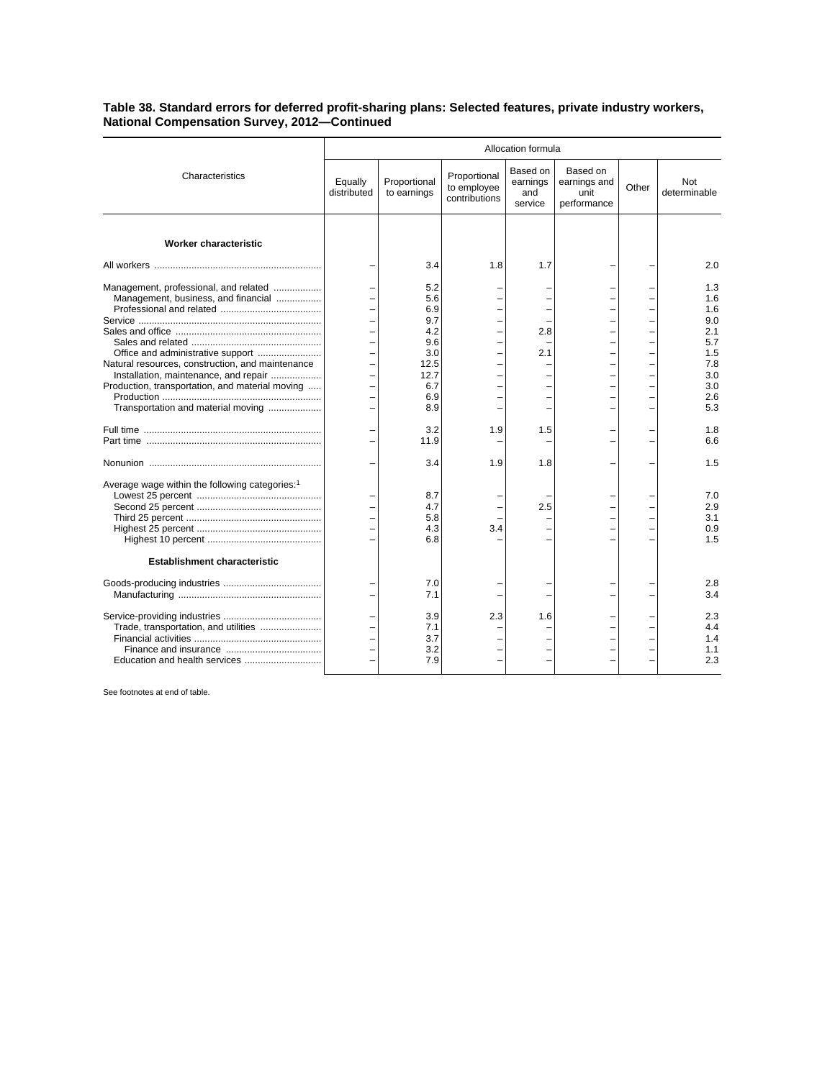## **Table 38. Standard errors for deferred profit-sharing plans: Selected features, private industry workers, National Compensation Survey, 2012—Continued**

|                                                                                       | Allocation formula     |                             |                                              |                                        |                                                 |       |                     |
|---------------------------------------------------------------------------------------|------------------------|-----------------------------|----------------------------------------------|----------------------------------------|-------------------------------------------------|-------|---------------------|
| Characteristics                                                                       | Equally<br>distributed | Proportional<br>to earnings | Proportional<br>to employee<br>contributions | Based on<br>earnings<br>and<br>service | Based on<br>earnings and<br>unit<br>performance | Other | Not<br>determinable |
| <b>Worker characteristic</b>                                                          |                        |                             |                                              |                                        |                                                 |       |                     |
|                                                                                       |                        | 3.4                         | 1.8                                          | 1.7                                    |                                                 |       | 2.0                 |
| Management, professional, and related<br>Management, business, and financial          |                        | 5.2<br>5.6<br>6.9           |                                              |                                        |                                                 |       | 1.3<br>1.6<br>1.6   |
|                                                                                       |                        | 9.7                         |                                              |                                        |                                                 |       | 9.0                 |
|                                                                                       |                        | 4.2                         | L.                                           | 2.8                                    |                                                 |       | 2.1                 |
|                                                                                       |                        | 9.6<br>3.0                  |                                              | 2.1                                    |                                                 |       | 5.7<br>1.5          |
| Office and administrative support<br>Natural resources, construction, and maintenance |                        | 12.5                        |                                              |                                        |                                                 |       | 7.8                 |
| Installation, maintenance, and repair                                                 |                        | 12.7                        |                                              |                                        |                                                 |       | 3.0                 |
| Production, transportation, and material moving                                       |                        | 6.7                         |                                              |                                        |                                                 |       | 3.0                 |
|                                                                                       |                        | 6.9                         |                                              |                                        |                                                 |       | 2.6                 |
| Transportation and material moving                                                    |                        | 8.9                         |                                              |                                        |                                                 |       | 5.3                 |
|                                                                                       |                        |                             |                                              |                                        |                                                 |       |                     |
|                                                                                       |                        | 3.2<br>11.9                 | 1.9                                          | 1.5                                    |                                                 |       | 1.8<br>6.6          |
|                                                                                       |                        |                             |                                              |                                        |                                                 |       |                     |
|                                                                                       |                        | 3.4                         | 1.9                                          | 1.8                                    |                                                 |       | 1.5                 |
| Average wage within the following categories: <sup>1</sup>                            |                        |                             |                                              |                                        |                                                 |       |                     |
|                                                                                       |                        | 8.7<br>4.7                  |                                              | 2.5                                    |                                                 |       | 7.0<br>2.9          |
|                                                                                       |                        | 5.8                         |                                              |                                        |                                                 |       | 3.1                 |
|                                                                                       |                        | 4.3                         | 3.4                                          |                                        |                                                 |       | 0.9                 |
|                                                                                       |                        | 6.8                         |                                              |                                        |                                                 |       | 1.5                 |
| <b>Establishment characteristic</b>                                                   |                        |                             |                                              |                                        |                                                 |       |                     |
|                                                                                       |                        | 7.0                         |                                              |                                        |                                                 |       | 2.8                 |
|                                                                                       |                        | 7.1                         |                                              |                                        |                                                 |       | 3.4                 |
|                                                                                       |                        | 3.9                         | 2.3                                          | 1.6                                    |                                                 |       | 2.3                 |
| Trade, transportation, and utilities                                                  |                        | 7.1                         |                                              |                                        |                                                 |       | 4.4                 |
|                                                                                       |                        | 3.7                         |                                              |                                        |                                                 |       | 1.4                 |
|                                                                                       |                        | 3.2                         |                                              |                                        |                                                 |       | 1.1                 |
|                                                                                       |                        | 7.9                         |                                              |                                        |                                                 |       | 2.3                 |

See footnotes at end of table.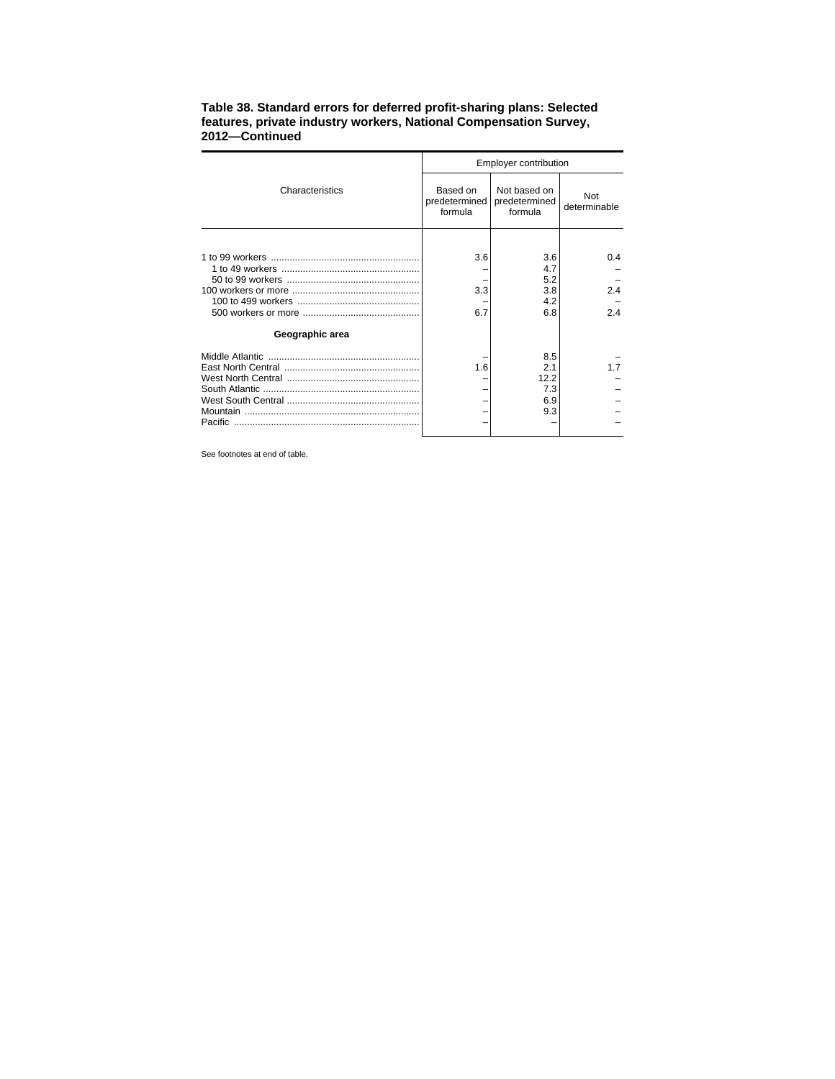|                 | Employer contribution                |                                          |                     |  |  |
|-----------------|--------------------------------------|------------------------------------------|---------------------|--|--|
| Characteristics | Based on<br>predetermined<br>formula | Not based on<br>predetermined<br>formula | Not<br>determinable |  |  |
|                 |                                      |                                          |                     |  |  |
|                 | 3.6                                  | 3.6                                      | 0.4                 |  |  |
|                 |                                      | 4.7                                      |                     |  |  |
|                 |                                      | 5.2                                      |                     |  |  |
|                 | 3.3                                  | 3.8                                      | 2.4                 |  |  |
|                 |                                      | 4.2                                      |                     |  |  |
|                 | 6.7                                  | 6.8                                      | 24                  |  |  |
| Geographic area |                                      |                                          |                     |  |  |
|                 |                                      | 8.5                                      |                     |  |  |
|                 | 1.6                                  | 21                                       | 17                  |  |  |
|                 |                                      | 12.2                                     |                     |  |  |
|                 |                                      | 7.3                                      |                     |  |  |
|                 |                                      | 6.9                                      |                     |  |  |
|                 |                                      | 9.3                                      |                     |  |  |
|                 |                                      |                                          |                     |  |  |

## **Table 38. Standard errors for deferred profit-sharing plans: Selected features, private industry workers, National Compensation Survey, 2012—Continued**

See footnotes at end of table.